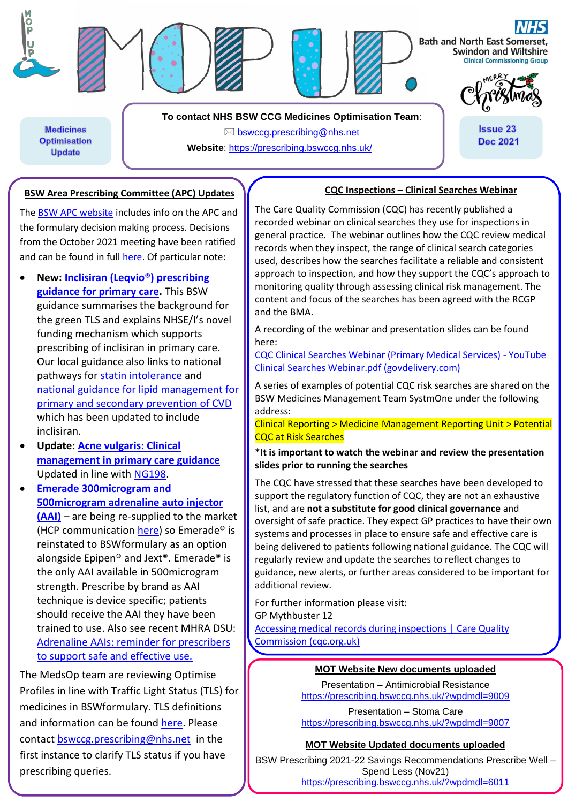

**Medicines Optimisation Update** 

**To contact NHS BSW CCG Medicines Optimisation Team**:  $\boxtimes$  [bswccg.prescribing@nhs.net](mailto:bswccg.prescribing@nhs.net) **Website**: [https://prescribing.bswccg.nhs.uk/](https://prescribing.wiltshireccg.nhs.uk/)

# **CQC Inspections – Clinical Searches Webinar**

**Issue 23** 

**Dec 2021** 

The [BSW APC website](https://prescribing.bswccg.nhs.uk/apc) includes info on the APC and the formulary decision making process. Decisions from the October 2021 meeting have been ratified and can be found in ful[l here.](https://prescribing.bswccg.nhs.uk/apc-recent-decisions) Of particular note:

**BSW Area Prescribing Committee (APC) Updates**

- **New: [Inclisiran \(Leqvio®\) prescribing](https://prescribing.bswccg.nhs.uk/?wpdmdl=9025)  [guidance for primary care.](https://prescribing.bswccg.nhs.uk/?wpdmdl=9025)** This BSW guidance summarises the background for the green TLS and explains NHSE/I's novel funding mechanism which supports prescribing of inclisiran in primary care. Our local guidance also links to national pathways for [statin intolerance](https://www.england.nhs.uk/aac/publication/statin-intolerance-pathway/) and [national guidance for lipid management for](https://www.england.nhs.uk/aac/publication/summary-of-national-guidance-for-lipid-management/)  [primary and secondary prevention of CVD](https://www.england.nhs.uk/aac/publication/summary-of-national-guidance-for-lipid-management/) which has been updated to include inclisiran.
- **Update: [Acne vulgaris: Clinical](https://prescribing.bswccg.nhs.uk/?wpdmdl=6495)  [management in primary care guidance](https://prescribing.bswccg.nhs.uk/?wpdmdl=6495)** Updated in line with [NG198.](https://www.nice.org.uk/guidance/ng198)

• **[Emerade 300microgram and](http://bswformulary.nhs.uk/chaptersSubDetails.asp?FormularySectionID=3&SubSectionRef=03.04.03&SubSectionID=B100&drugmatch=254#254)  [500microgram adrenaline auto injector](http://bswformulary.nhs.uk/chaptersSubDetails.asp?FormularySectionID=3&SubSectionRef=03.04.03&SubSectionID=B100&drugmatch=254#254)  [\(AAI\)](http://bswformulary.nhs.uk/chaptersSubDetails.asp?FormularySectionID=3&SubSectionRef=03.04.03&SubSectionID=B100&drugmatch=254#254)** – are being re-supplied to the market (HCP communication [here\)](https://www.medicines.org.uk/emc/dhpc/2290/Document?UNLID=6570941632021115114952) so Emerade® is reinstated to BSWformulary as an option alongside Epipen® and Jext®. Emerade® is the only AAI available in 500microgram strength. Prescribe by brand as AAI technique is device specific; patients should receive the AAI they have been trained to use. Also see recent MHRA DSU: [Adrenaline AAIs: reminder for prescribers](https://www.gov.uk/drug-safety-update/adrenaline-auto-injectors-reminder-for-prescribers-to-support-safe-and-effective-use)  [to support safe and effective use.](https://www.gov.uk/drug-safety-update/adrenaline-auto-injectors-reminder-for-prescribers-to-support-safe-and-effective-use)

The MedsOp team are reviewing Optimise Profiles in line with Traffic Light Status (TLS) for medicines in BSWformulary. TLS definitions and information can be found [here.](http://bswformulary.nhs.uk/about.asp) Please contact [bswccg.prescribing@nhs.net](mailto:bswccg.prescribing@nhs.net) in the first instance to clarify TLS status if you have prescribing queries.

The Care Quality Commission (CQC) has recently published a recorded webinar on clinical searches they use for inspections in general practice. The webinar outlines how the CQC review medical records when they inspect, the range of clinical search categories used, describes how the searches facilitate a reliable and consistent approach to inspection, and how they support the CQC's approach to monitoring quality through assessing clinical risk management. The content and focus of the searches has been agreed with the RCGP and the BMA.

A recording of the webinar and presentation slides can be found here:

[CQC Clinical Searches Webinar \(Primary Medical Services\) -](https://www.youtube.com/watch?v=WCKz5ZyW7lY) YouTube [Clinical Searches Webinar.pdf \(govdelivery.com\)](https://content.govdelivery.com/attachments/UKCQC/2021/11/18/file_attachments/1999336/20211102%20Clinical%20Searches%20Webinar.pdf)

A series of examples of potential CQC risk searches are shared on the BSW Medicines Management Team SystmOne under the following address:

Clinical Reporting > Medicine Management Reporting Unit > Potential CQC at Risk Searches

**\*It is important to watch the webinar and review the presentation slides prior to running the searches** 

The CQC have stressed that these searches have been developed to support the regulatory function of CQC, they are not an exhaustive list, and are **not a substitute for good clinical governance** and oversight of safe practice. They expect GP practices to have their own systems and processes in place to ensure safe and effective care is being delivered to patients following national guidance. The CQC will regularly review and update the searches to reflect changes to guidance, new alerts, or further areas considered to be important for additional review.

For further information please visit: GP Mythbuster 12

[Accessing medical records during inspections | Care Quality](https://www.cqc.org.uk/guidance-providers/gps/gp-mythbuster-12-accessing-medical-records-during-inspections)  [Commission \(cqc.org.uk\)](https://www.cqc.org.uk/guidance-providers/gps/gp-mythbuster-12-accessing-medical-records-during-inspections)

## **MOT Website New documents uploaded**

Presentation – Antimicrobial Resistance <https://prescribing.bswccg.nhs.uk/?wpdmdl=9009>

Presentation – Stoma Care <https://prescribing.bswccg.nhs.uk/?wpdmdl=9007>

### **MOT Website Updated documents uploaded**

BSW Prescribing 2021-22 Savings Recommendations Prescribe Well – Spend Less (Nov21) <https://prescribing.bswccg.nhs.uk/?wpdmdl=6011>